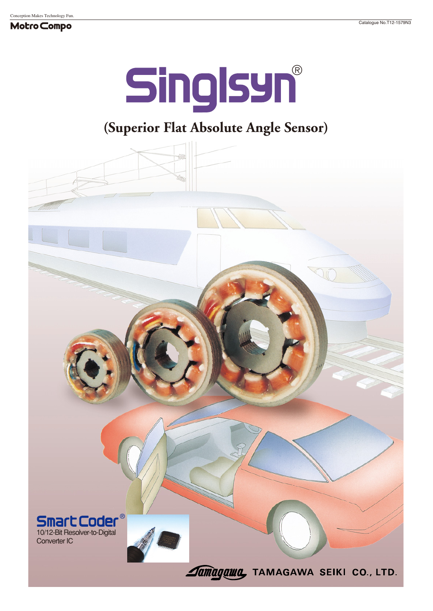#### Motro Compo

# **Singlsyn®**

## **(Superior Flat Absolute Angle Sensor)**

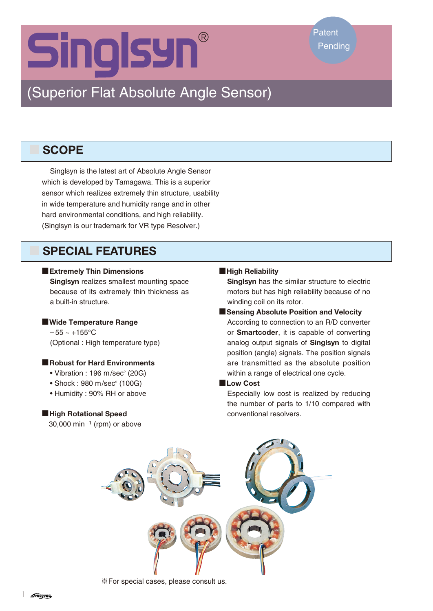## **Singlsyn®**

## (Superior Flat Absolute Angle Sensor)

## ■ **SCOPE**

Singlsyn is the latest art of Absolute Angle Sensor which is developed by Tamagawa. This is a superior sensor which realizes extremely thin structure, usability in wide temperature and humidity range and in other hard environmental conditions, and high reliability. (Singlsyn is our trademark for VR type Resolver.)

## ■ **SPECIAL FEATURES**

#### ■**Extremely Thin Dimensions**

**Singlsyn** realizes smallest mounting space because of its extremely thin thickness as a built-in structure.

#### ■**Wide Temperature Range**

 $-55 - +155$ °C (Optional : High temperature type)

#### ■**Robust for Hard Environments**

- $\bullet$  Vibration : 196 m/sec<sup>2</sup> (20G)
- $\bullet$  Shock: 980 m/sec<sup>2</sup> (100G)
- Humidity : 90% RH or above

#### ■**High Rotational Speed**

30,000 min<sup> $-1$ </sup> (rpm) or above

#### ■**High Reliability**

**Singlsyn** has the similar structure to electric motors but has high reliability because of no winding coil on its rotor.

#### ■**Sensing Absolute Position and Velocity**

According to connection to an R/D converter or **Smartcoder**, it is capable of converting analog output signals of **Singlsyn** to digital position (angle) signals. The position signals are transmitted as the absolute position within a range of electrical one cycle.

#### ■**Low Cost**

Especially low cost is realized by reducing the number of parts to 1/10 compared with conventional resolvers.



※For special cases, please consult us.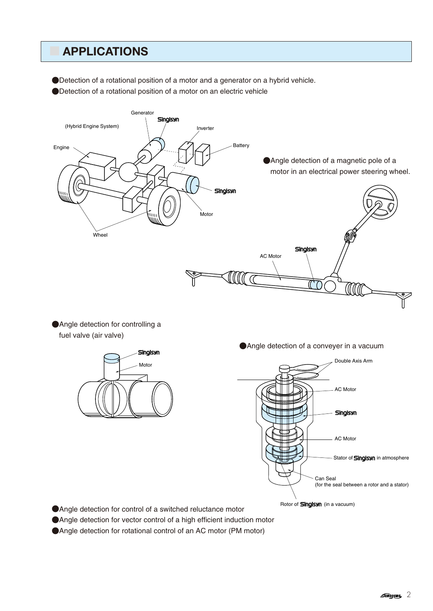## ■ **APPLICATIONS**

●Detection of a rotational position of a motor and a generator on a hybrid vehicle.

●Detection of a rotational position of a motor on an electric vehicle



●Angle detection for controlling a fuel valve (air valve)



●Angle detection of a conveyer in a vacuum



●Angle detection for control of a switched reluctance motor

●Angle detection for vector control of a high efficient induction motor

●Angle detection for rotational control of an AC motor (PM motor)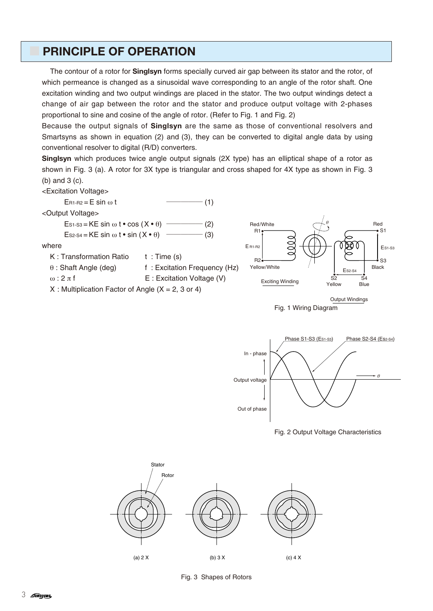## **PRINCIPLE OF OPERATION**

The contour of a rotor for **Singlsyn** forms specially curved air gap between its stator and the rotor, of which permeance is changed as a sinusoidal wave corresponding to an angle of the rotor shaft. One excitation winding and two output windings are placed in the stator. The two output windings detect a change of air gap between the rotor and the stator and produce output voltage with 2-phases proportional to sine and cosine of the angle of rotor. (Refer to Fig. 1 and Fig. 2)

Because the output signals of **Singlsyn** are the same as those of conventional resolvers and Smartsyns as shown in equation (2) and (3), they can be converted to digital angle data by using conventional resolver to digital (R/D) converters.

**Singlsyn** which produces twice angle output signals (2X type) has an elliptical shape of a rotor as shown in Fig. 3 (a). A rotor for 3X type is triangular and cross shaped for 4X type as shown in Fig. 3 (b) and 3 (c).

<Excitation Voltage>











Fig. 3 Shapes of Rotors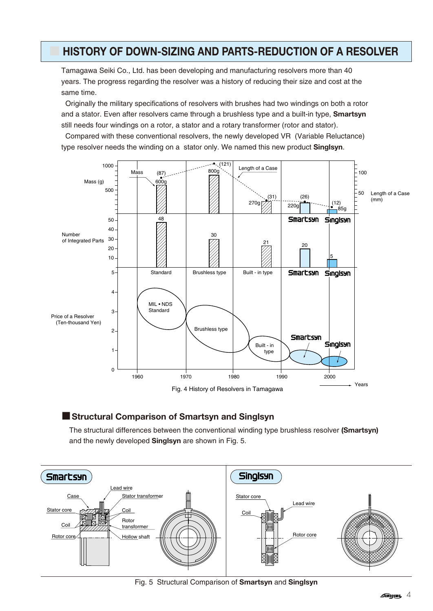## ■ **HISTORY OF DOWN-SIZING AND PARTS-REDUCTION OF A RESOLVER**

Tamagawa Seiki Co., Ltd. has been developing and manufacturing resolvers more than 40 years. The progress regarding the resolver was a history of reducing their size and cost at the same time.

Originally the military specifications of resolvers with brushes had two windings on both a rotor and a stator. Even after resolvers came through a brushless type and a built-in type, **Smartsyn** still needs four windings on a rotor, a stator and a rotary transformer (rotor and stator).

Compared with these conventional resolvers, the newly developed VR (Variable Reluctance) type resolver needs the winding on a stator only. We named this new product **Singlsyn**.



### ■**Structural Comparison of Smartsyn and Singlsyn**

The structural differences between the conventional winding type brushless resolver **(Smartsyn)** and the newly developed **Singlsyn** are shown in Fig. 5.



Fig. 5 Structural Comparison of **Smartsyn** and **Singlsyn**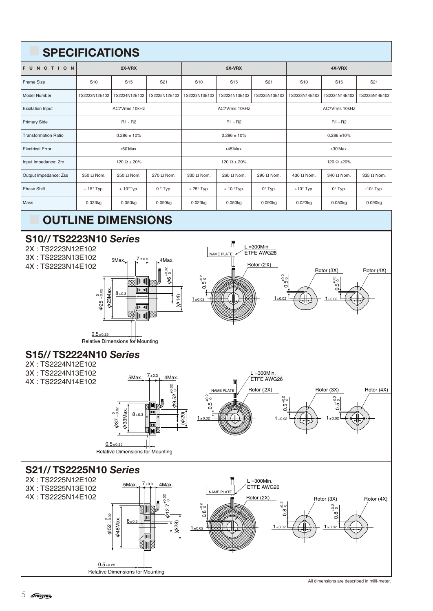## ■ **SPECIFICATIONS FUNCTION 2X-VRX 3X-VRX 4X-VRX** Frame Size | S10 | S15 | S21 | S10 | S15 | S21 | S10 | S15 | S21 Model Number TS2223N12E102 TS2224N12E102 TS2225N12E102 TS2223N13E102 TS2224N13E102 TS2225N13E102 TS2223N14E102 TS2224N14E102 TS2225N14E102 Excitation Input AC7Vrms 10kHz AC7Vrms 10kHz AC7Vrms 10kHz Primary Side R1 - R2 R1 - R2 R1 - R2 Transformation Ratio 10 0.286 ± 10% 0.286 ± 10% 0.286 ± 10% 0.286 ± 10% 0.286 ± 10% 0.286 ± 10% Electrical Error ±60'Max. ±45'Max. ±30'Max. Input Impedance: Zro 120 Ω ± 20% 120 Ω ± 20% 120 Ω ± 20% 120 Ω ± 20% 120 Ω ± 20% 120 Ω ± 20% 120 Ω ± 20% 120 Ω ± 20% Output Impedance: Zss 350 Ω Nom. 250 Ω Nom. 270 Ω Nom. 330 Ω Nom. 260 Ω Nom. 290 Ω Nom. 430 Ω Nom. 340 Ω Nom. 335 Ω Nom. Phase Shift | + 15° Typ. | + 10°Typ. | 0 ° Typ. | + 25° Typ. | + 10 °Typ. | + 0° Typ. | 0 °Typ. | - 10° Typ. | - 10° Typ. Mass 0.023kg 0.050kg 0.090kg 0.023kg 0.050kg 0.090kg 0.023kg 0.050kg 0.090kg

## **OUTLINE DIMENSIONS**



All dimensions are described in milli-meter.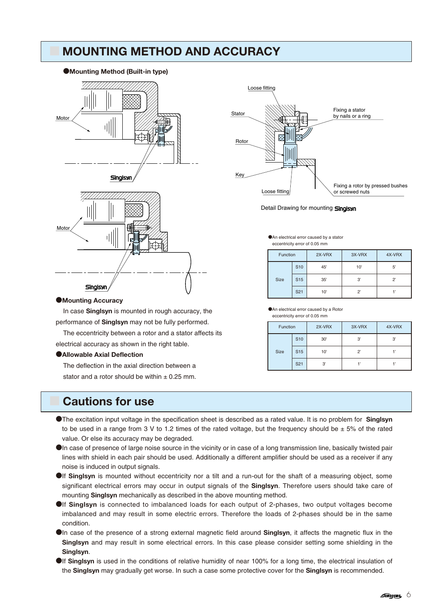## ■ **MOUNTING METHOD AND ACCURACY**

#### ●**Mounting Method (Built-in type)**





## Loose fitting Stato Rotor Key Loose fitting Fixing a rotor by pressed bushes or screwed nuts Fixing a stator by nails or a ring

Detail Drawing for mounting **Singlsyn** 

●An electrical error caused by a stator eccentricity error of 0.05 mm

> S10 S15  $S21$

●An electrical error caused by a Rotor eccentricity error of 0.05 mm

| Function    |                 | 2X-VRX | 3X-VRX | 4X-VRX      |
|-------------|-----------------|--------|--------|-------------|
| <b>Size</b> | S <sub>10</sub> | 45'    | 10'    | 5'          |
|             | S <sub>15</sub> | 35'    | 3'     | $2^{\circ}$ |
|             | S <sub>21</sub> | 10'    | ッ      |             |

Function 2X-VRX 3X-VRX 4X-VRX

Size | S15 | 10' | 2' | 1'

30' 3' 3'

3' 1' 1'

#### ●**Mounting Accuracy**

In case **Singlsyn** is mounted in rough accuracy, the performance of **Singlsyn** may not be fully performed.

The eccentricity between a rotor and a stator affects its electrical accuracy as shown in the right table.

#### ●**Allowable Axial Deflection**

The deflection in the axial direction between a stator and a rotor should be within  $\pm$  0.25 mm.

## ■ **Cautions for use**

- ●The excitation input voltage in the specification sheet is described as a rated value. It is no problem for **Singlsyn** to be used in a range from 3 V to 1.2 times of the rated voltage, but the frequency should be  $\pm$  5% of the rated value. Or else its accuracy may be degraded.
- ●In case of presence of large noise source in the vicinity or in case of a long transmission line, basically twisted pair lines with shield in each pair should be used. Additionally a different amplifier should be used as a receiver if any noise is induced in output signals.
- ●If **Singlsyn** is mounted without eccentricity nor a tilt and a run-out for the shaft of a measuring object, some significant electrical errors may occur in output signals of the **Singlsyn**. Therefore users should take care of mounting **Singlsyn** mechanically as described in the above mounting method.
- ●If **Singlsyn** is connected to imbalanced loads for each output of 2-phases, two output voltages become imbalanced and may result in some electric errors. Therefore the loads of 2-phases should be in the same condition.
- ●In case of the presence of a strong external magnetic field around **Singlsyn**, it affects the magnetic flux in the **Singlsyn** and may result in some electrical errors. In this case please consider setting some shielding in the **Singlsyn**.
- **If Singlsyn** is used in the conditions of relative humidity of near 100% for a long time, the electrical insulation of the **Singlsyn** may gradually get worse. In such a case some protective cover for the **Singlsyn** is recommended.